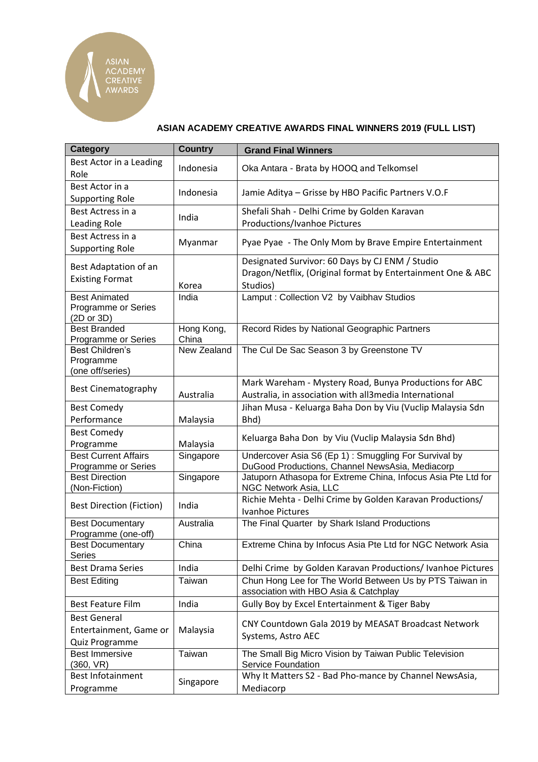**ASIAN ACADEMY<br>CREATIVE<br>AWARDS** 

## **ASIAN ACADEMY CREATIVE AWARDS FINAL WINNERS 2019 (FULL LIST)**

| <b>Category</b>                   | <b>Country</b> | <b>Grand Final Winners</b>                                               |
|-----------------------------------|----------------|--------------------------------------------------------------------------|
| Best Actor in a Leading           | Indonesia      | Oka Antara - Brata by HOOQ and Telkomsel                                 |
| Role                              |                |                                                                          |
| Best Actor in a                   | Indonesia      | Jamie Aditya - Grisse by HBO Pacific Partners V.O.F                      |
| <b>Supporting Role</b>            |                |                                                                          |
| Best Actress in a                 | India          | Shefali Shah - Delhi Crime by Golden Karavan                             |
| Leading Role                      |                | Productions/Ivanhoe Pictures                                             |
| Best Actress in a                 | Myanmar        | Pyae Pyae - The Only Mom by Brave Empire Entertainment                   |
| <b>Supporting Role</b>            |                |                                                                          |
| Best Adaptation of an             |                | Designated Survivor: 60 Days by CJ ENM / Studio                          |
| <b>Existing Format</b>            |                | Dragon/Netflix, (Original format by Entertainment One & ABC              |
|                                   | Korea          | Studios)                                                                 |
| <b>Best Animated</b>              | India          | Lamput: Collection V2 by Vaibhav Studios                                 |
| Programme or Series<br>(2D or 3D) |                |                                                                          |
| <b>Best Branded</b>               | Hong Kong,     | Record Rides by National Geographic Partners                             |
| Programme or Series               | China          |                                                                          |
| Best Children's                   | New Zealand    | The Cul De Sac Season 3 by Greenstone TV                                 |
| Programme<br>(one off/series)     |                |                                                                          |
|                                   |                | Mark Wareham - Mystery Road, Bunya Productions for ABC                   |
| <b>Best Cinematography</b>        | Australia      | Australia, in association with all3media International                   |
| <b>Best Comedy</b>                |                | Jihan Musa - Keluarga Baha Don by Viu (Vuclip Malaysia Sdn               |
| Performance                       | Malaysia       | Bhd)                                                                     |
| <b>Best Comedy</b>                |                |                                                                          |
| Programme                         | Malaysia       | Keluarga Baha Don by Viu (Vuclip Malaysia Sdn Bhd)                       |
| <b>Best Current Affairs</b>       | Singapore      | Undercover Asia S6 (Ep 1): Smuggling For Survival by                     |
| Programme or Series               |                | DuGood Productions, Channel NewsAsia, Mediacorp                          |
| <b>Best Direction</b>             | Singapore      | Jatuporn Athasopa for Extreme China, Infocus Asia Pte Ltd for            |
| (Non-Fiction)                     |                | NGC Network Asia, LLC                                                    |
| <b>Best Direction (Fiction)</b>   | India          | Richie Mehta - Delhi Crime by Golden Karavan Productions/                |
| <b>Best Documentary</b>           | Australia      | <b>Ivanhoe Pictures</b><br>The Final Quarter by Shark Island Productions |
| Programme (one-off)               |                |                                                                          |
| <b>Best Documentary</b>           | China          | Extreme China by Infocus Asia Pte Ltd for NGC Network Asia               |
| Series                            |                |                                                                          |
| <b>Best Drama Series</b>          | India          | Delhi Crime by Golden Karavan Productions/ Ivanhoe Pictures              |
| <b>Best Editing</b>               | Taiwan         | Chun Hong Lee for The World Between Us by PTS Taiwan in                  |
|                                   |                | association with HBO Asia & Catchplay                                    |
| <b>Best Feature Film</b>          | India          | Gully Boy by Excel Entertainment & Tiger Baby                            |
| <b>Best General</b>               | Malaysia       | CNY Countdown Gala 2019 by MEASAT Broadcast Network                      |
| Entertainment, Game or            |                | Systems, Astro AEC                                                       |
| Quiz Programme                    |                |                                                                          |
| <b>Best Immersive</b>             | Taiwan         | The Small Big Micro Vision by Taiwan Public Television                   |
| (360, VR)                         |                | Service Foundation                                                       |
| <b>Best Infotainment</b>          | Singapore      | Why It Matters S2 - Bad Pho-mance by Channel NewsAsia,                   |
| Programme                         |                | Mediacorp                                                                |